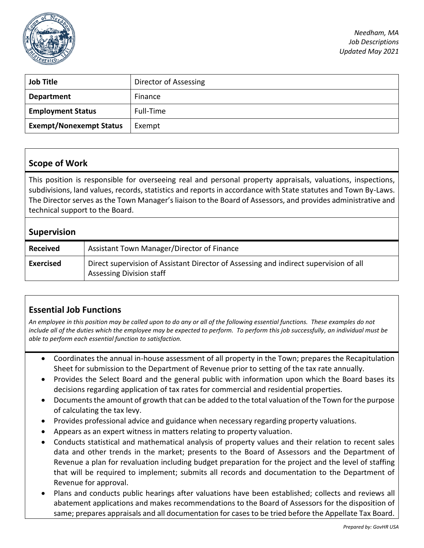

*Needham, MA Job Descriptions Updated May 2021*

| <b>Job Title</b>               | Director of Assessing |
|--------------------------------|-----------------------|
| <b>Department</b>              | Finance               |
| <b>Employment Status</b>       | Full-Time             |
| <b>Exempt/Nonexempt Status</b> | Exempt                |

#### **Scope of Work**

This position is responsible for overseeing real and personal property appraisals, valuations, inspections, subdivisions, land values, records, statistics and reports in accordance with State statutes and Town By-Laws. The Director serves as the Town Manager's liaison to the Board of Assessors, and provides administrative and technical support to the Board.

#### **Supervision**

| <b>Received</b>  | Assistant Town Manager/Director of Finance                                                                               |
|------------------|--------------------------------------------------------------------------------------------------------------------------|
| <b>Exercised</b> | Direct supervision of Assistant Director of Assessing and indirect supervision of all<br><b>Assessing Division staff</b> |

#### **Essential Job Functions**

*An employee in this position may be called upon to do any or all of the following essential functions. These examples do not include all of the duties which the employee may be expected to perform. To perform this job successfully, an individual must be able to perform each essential function to satisfaction.* 

- Coordinates the annual in-house assessment of all property in the Town; prepares the Recapitulation Sheet for submission to the Department of Revenue prior to setting of the tax rate annually.
- Provides the Select Board and the general public with information upon which the Board bases its decisions regarding application of tax rates for commercial and residential properties.
- Documents the amount of growth that can be added to the total valuation of the Town for the purpose of calculating the tax levy.
- Provides professional advice and guidance when necessary regarding property valuations.
- Appears as an expert witness in matters relating to property valuation.
- Conducts statistical and mathematical analysis of property values and their relation to recent sales data and other trends in the market; presents to the Board of Assessors and the Department of Revenue a plan for revaluation including budget preparation for the project and the level of staffing that will be required to implement; submits all records and documentation to the Department of Revenue for approval.
- Plans and conducts public hearings after valuations have been established; collects and reviews all abatement applications and makes recommendations to the Board of Assessors for the disposition of same; prepares appraisals and all documentation for cases to be tried before the Appellate Tax Board.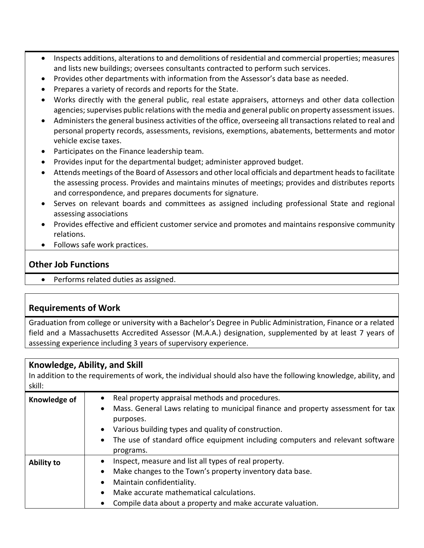- Inspects additions, alterations to and demolitions of residential and commercial properties; measures and lists new buildings; oversees consultants contracted to perform such services.
- Provides other departments with information from the Assessor's data base as needed.
- Prepares a variety of records and reports for the State.
- Works directly with the general public, real estate appraisers, attorneys and other data collection agencies; supervises public relations with the media and general public on property assessment issues.
- Administers the general business activities of the office, overseeing all transactions related to real and personal property records, assessments, revisions, exemptions, abatements, betterments and motor vehicle excise taxes.
- Participates on the Finance leadership team.
- Provides input for the departmental budget; administer approved budget.
- Attends meetings of the Board of Assessors and other local officials and department heads to facilitate the assessing process. Provides and maintains minutes of meetings; provides and distributes reports and correspondence, and prepares documents for signature.
- Serves on relevant boards and committees as assigned including professional State and regional assessing associations
- Provides effective and efficient customer service and promotes and maintains responsive community relations.
- Follows safe work practices.

# **Other Job Functions**

• Performs related duties as assigned.

# **Requirements of Work**

Graduation from college or university with a Bachelor's Degree in Public Administration, Finance or a related field and a Massachusetts Accredited Assessor (M.A.A.) designation, supplemented by at least 7 years of assessing experience including 3 years of supervisory experience.

# **Knowledge, Ability, and Skill**

In addition to the requirements of work, the individual should also have the following knowledge, ability, and skill:

| Knowledge of      | Real property appraisal methods and procedures.<br>• Mass. General Laws relating to municipal finance and property assessment for tax<br>purposes.<br>• Various building types and quality of construction.<br>• The use of standard office equipment including computers and relevant software<br>programs. |
|-------------------|--------------------------------------------------------------------------------------------------------------------------------------------------------------------------------------------------------------------------------------------------------------------------------------------------------------|
| <b>Ability to</b> | Inspect, measure and list all types of real property.<br>Make changes to the Town's property inventory data base.<br>$\bullet$<br>Maintain confidentiality.<br>$\bullet$<br>Make accurate mathematical calculations.<br>$\bullet$<br>Compile data about a property and make accurate valuation.<br>$\bullet$ |